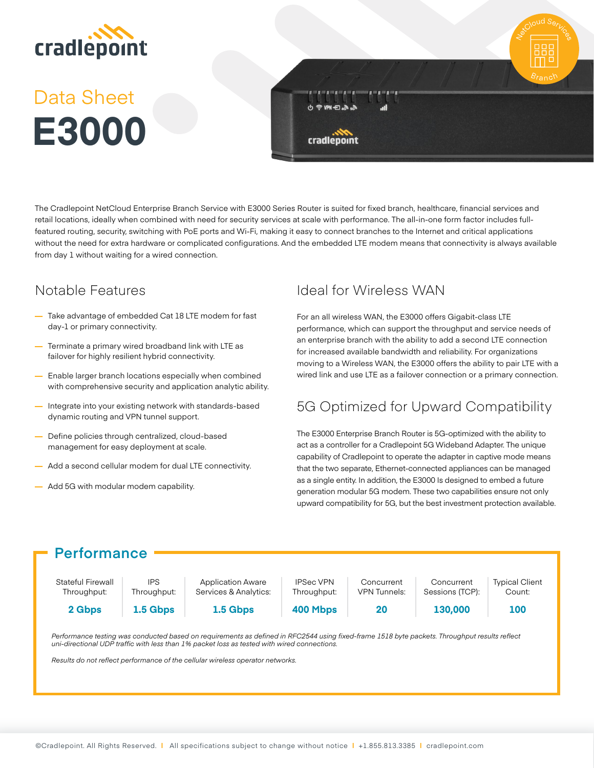

# Data Sheet **E3000**



The Cradlepoint NetCloud Enterprise Branch Service with E3000 Series Router is suited for fixed branch, healthcare, financial services and retail locations, ideally when combined with need for security services at scale with performance. The all-in-one form factor includes fullfeatured routing, security, switching with PoE ports and Wi-Fi, making it easy to connect branches to the Internet and critical applications without the need for extra hardware or complicated configurations. And the embedded LTE modem means that connectivity is always available from day 1 without waiting for a wired connection.

### Notable Features

- **—** Take advantage of embedded Cat 18 LTE modem for fast day-1 or primary connectivity.
- **—** Terminate a primary wired broadband link with LTE as failover for highly resilient hybrid connectivity.
- **—** Enable larger branch locations especially when combined with comprehensive security and application analytic ability.
- **—** Integrate into your existing network with standards-based dynamic routing and VPN tunnel support.
- **—** Define policies through centralized, cloud-based management for easy deployment at scale.
- **—** Add a second cellular modem for dual LTE connectivity.
- **—** Add 5G with modular modem capability.

## Ideal for Wireless WAN

For an all wireless WAN, the E3000 offers Gigabit-class LTE performance, which can support the throughput and service needs of an enterprise branch with the ability to add a second LTE connection for increased available bandwidth and reliability. For organizations moving to a Wireless WAN, the E3000 offers the ability to pair LTE with a wired link and use LTE as a failover connection or a primary connection.

## 5G Optimized for Upward Compatibility

The E3000 Enterprise Branch Router is 5G-optimized with the ability to act as a controller for a Cradlepoint 5G Wideband Adapter. The unique capability of Cradlepoint to operate the adapter in captive mode means that the two separate, Ethernet-connected appliances can be managed as a single entity. In addition, the E3000 Is designed to embed a future generation modular 5G modem. These two capabilities ensure not only upward compatibility for 5G, but the best investment protection available.

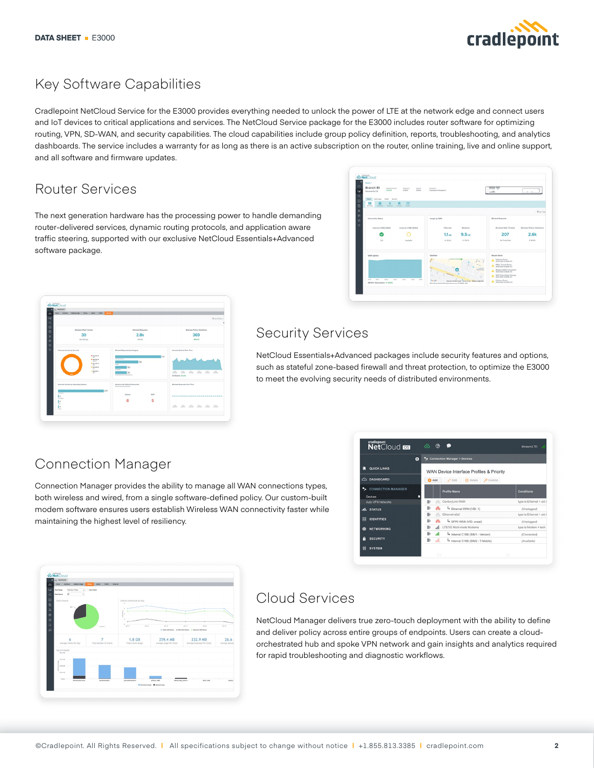

## Key Software Capabilities

Cradlepoint NetCloud Service for the E3000 provides everything needed to unlock the power of LTE at the network edge and connect users and IoT devices to critical applications and services. The NetCloud Service package for the E3000 includes router software for optimizing routing, VPN, SD-WAN, and security capabilities. The cloud capabilities include group policy definition, reports, troubleshooting, and analytics dashboards. The service includes a warranty for as long as there is an active subscription on the router, online training, live and online support, and all software and firmware updates.

## Router Services

The next generation hardware has the processing power to handle demanding router-delivered services, dynamic routing protocols, and application aware traffic steering, supported with our exclusive NetCloud Essentials+Advanced software package.

| $\omega$<br>6à<br>oĝ, | <b>Bastery 2</b><br>Branch 81<br><b>OWAK ESTUS</b><br>crous-<br>PRODUCT<br>CALINE<br>83000<br>E3000<br>Sacramento CA | ACCOUNT<br><b>Cradiepoint Showpoint</b>                          | <b>TERRIT DON</b><br>$-25$                                       |
|-----------------------|----------------------------------------------------------------------------------------------------------------------|------------------------------------------------------------------|------------------------------------------------------------------|
| $^{\circ}$            | Health Servely<br><b>Home</b><br>Corta Libraria                                                                      |                                                                  |                                                                  |
| 固                     | ₩<br>$\overline{a}$<br>۰<br>ш<br>Summary.<br><b>Links</b><br>Distalla<br><b>Medium</b><br>Counties:                  |                                                                  |                                                                  |
| B                     |                                                                                                                      |                                                                  | G Len Films                                                      |
| e<br>$\mathbf{x}$     | Connection Status                                                                                                    | Usage by WAN                                                     | <b>Blucked Requests</b>                                          |
| $\alpha$              | Internal C188 (SIM2)<br>Internal C188 (SIM)                                                                          | Ethernet<br>Moderns                                              | <b>Biocked Web Threats</b><br><b>Blocked Policy Violations</b>   |
|                       |                                                                                                                      | 9.5 <sub>ca</sub><br>1.1 <sub>on</sub>                           | 2.6k<br>207                                                      |
|                       | v<br><b>CTE</b><br>Australia                                                                                         | <b>+ 124.7%</b><br># 92.6%                                       | <b>183.6%</b><br>No Trend Date                                   |
|                       |                                                                                                                      |                                                                  |                                                                  |
|                       | WAN Uptime                                                                                                           | Geotdew                                                          | Recent Alerts                                                    |
|                       |                                                                                                                      | <b>CA FOUR PARK</b><br>$5 - 10 - 1$                              | Fallower Event<br><b>A</b> OGEN 2030 EN3BAN LITE                 |
|                       |                                                                                                                      | <b>Service</b><br>ta <sub>m</sub><br>The Cathedra<br>thermed Sad | IPSec Tunnel Down<br>A contrate interests<br>Modem WAN Connected |
|                       |                                                                                                                      | $\mathcal{H}_{\mathcal{M}}$<br>Xir-                              | A OSETSSIS DISBAN LTC<br>WFi Client State Change<br>А            |
|                       | 15.5<br><b>INC</b><br><b>OUT</b><br>0439<br>one.<br><b>DOM:</b><br>10.00<br>98.75% Total Uptime 1 0.02%              | Gaude<br>Map data 0.0000 Doogle Terms of Our Report a map engr   | Failover Event<br>A <b>OSHADOO COSPMATC</b>                      |
|                       |                                                                                                                      | 621), Smort Espital Mail Alley, Sacramonto, CA 95816, USA        |                                                                  |



## Security Services

NetCloud Essentials+Advanced packages include security features and options, such as stateful zone-based firewall and threat protection, to optimize the E3000 to meet the evolving security needs of distributed environments.

## Connection Manager

Connection Manager provides the ability to manage all WAN connections types, both wireless and wired, from a single software-defined policy. Our custom-built modem software ensures users establish Wireless WAN connectivity faster while maintaining the highest level of resiliency.

|                                                         | ø  | z  |              | <b>Connection Manager &gt; Devices</b> |                          |
|---------------------------------------------------------|----|----|--------------|----------------------------------------|--------------------------|
| QUICK LINKS<br>WAN Device Interface Profiles & Priority |    |    |              |                                        |                          |
| <b>DASHBOARD</b><br>⋒                                   |    |    | <b>B</b> Add | <b>C</b> Delete<br>Control<br>$Z$ Edit |                          |
| ۰.<br><b>CONNECTION MANAGER</b><br>Devices              | Г. |    |              | <b>Profile Name</b>                    | Conditions               |
| Auto VPN Networks                                       |    | €  | 볾            | CenturyLink-WAN                        | type is Ethernet + uid i |
| A STATUS                                                |    | m. | ಹಿ           | Ethemet WAN (VID: 1)                   | (Unplugged)              |
|                                                         |    | ≣: | 욺            | Ethernet-sfo0                          | type is Ethernet + uid i |
| 黑<br><b>IDENTITIES</b>                                  |    | 当  | ಹಿ           | SFP0 WAN (VID: unset)                  | (Unplugged)              |
| <b>NETWORKING</b><br>Æ                                  |    | ≣: | al.          | LTE/3G Multi-mode Modems               | type is Modern + tech    |
|                                                         |    | ÷, | al.          | Internal C18B (SIM1 - Verizon)         | (Connected)              |
| A<br><b>SECURITY</b>                                    |    | m. | off.         | Internal C18B (SIM2 - T-Mobile)        | (Available)              |



### Cloud Services

NetCloud Manager delivers true zero-touch deployment with the ability to define and deliver policy across entire groups of endpoints. Users can create a cloudorchestrated hub and spoke VPN network and gain insights and analytics required for rapid troubleshooting and diagnostic workflows.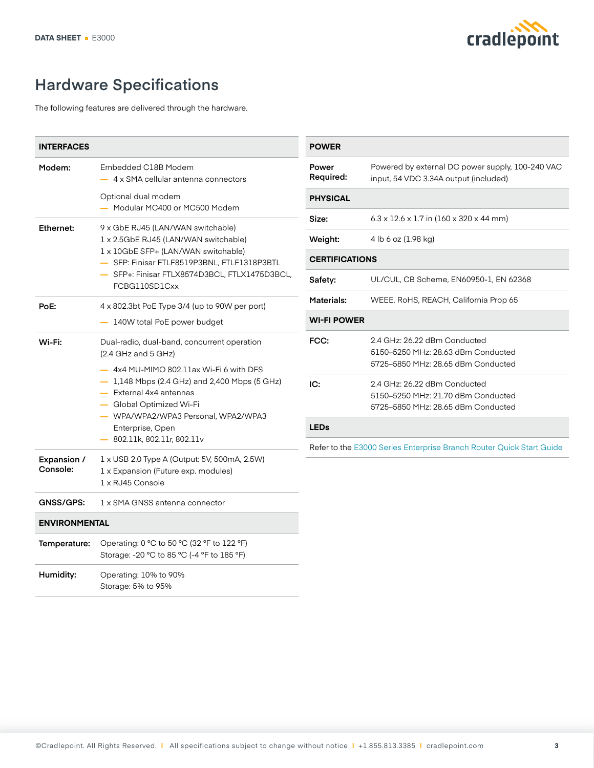

# **Hardware Specifications**

The following features are delivered through the hardware.

| <b>INTERFACES</b>       |                                                                                                                                                                                                                                                                                                                     |
|-------------------------|---------------------------------------------------------------------------------------------------------------------------------------------------------------------------------------------------------------------------------------------------------------------------------------------------------------------|
| Modem:                  | Embedded C18B Modem<br>4 x SMA cellular antenna connectors                                                                                                                                                                                                                                                          |
|                         | Optional dual modem<br>Modular MC400 or MC500 Modem                                                                                                                                                                                                                                                                 |
| Ethernet:               | 9 x GbE RJ45 (LAN/WAN switchable)<br>1 x 2.5GbE RJ45 (LAN/WAN switchable)<br>1 x 10GbE SFP+ (LAN/WAN switchable)<br>- SFP: Finisar FTLF8519P3BNL, FTLF1318P3BTL<br>- SFP+: Finisar FTLX8574D3BCL, FTLX1475D3BCL,<br>FCBG110SD1Cxx                                                                                   |
| PoE:                    | 4 x 802.3bt PoE Type 3/4 (up to 90W per port)<br>140W total PoE power budget                                                                                                                                                                                                                                        |
| Wi-Fi:                  | Dual-radio, dual-band, concurrent operation<br>$(2.4$ GHz and 5 GHz)<br>- 4x4 MU-MIMO 802.11ax Wi-Fi 6 with DFS<br>- 1,148 Mbps (2.4 GHz) and 2,400 Mbps (5 GHz)<br>$-$ External 4x4 antennas<br>— Global Optimized Wi-Fi<br>— WPA/WPA2/WPA3 Personal, WPA2/WPA3<br>Enterprise, Open<br>- 802.11k, 802.11r, 802.11v |
| Expansion /<br>Console: | 1 x USB 2.0 Type A (Output: 5V, 500mA, 2.5W)<br>1 x Expansion (Future exp. modules)<br>1 x RJ45 Console                                                                                                                                                                                                             |
| GNSS/GPS:               | 1 x SMA GNSS antenna connector                                                                                                                                                                                                                                                                                      |
| <b>ENVIRONMENTAL</b>    |                                                                                                                                                                                                                                                                                                                     |
| Temperature:            | Operating: 0 °C to 50 °C (32 °F to 122 °F)<br>Storage: -20 °C to 85 °C (-4 °F to 185 °F)                                                                                                                                                                                                                            |
| Humidity:               | Operating: 10% to 90%<br>Storage: 5% to 95%                                                                                                                                                                                                                                                                         |

| <b>POWER</b>                                                         |                                                                                                          |  |  |  |  |
|----------------------------------------------------------------------|----------------------------------------------------------------------------------------------------------|--|--|--|--|
| Power<br><b>Required:</b>                                            | Powered by external DC power supply, 100-240 VAC<br>input, 54 VDC 3.34A output (included)                |  |  |  |  |
| <b>PHYSICAL</b>                                                      |                                                                                                          |  |  |  |  |
| Size:                                                                | $6.3 \times 12.6 \times 1.7$ in (160 x 320 x 44 mm)                                                      |  |  |  |  |
| Weight:                                                              | 4 lb 6 oz (1.98 kg)                                                                                      |  |  |  |  |
| <b>CERTIFICATIONS</b>                                                |                                                                                                          |  |  |  |  |
| Safety:                                                              | UL/CUL, CB Scheme, EN60950-1, EN 62368                                                                   |  |  |  |  |
| Materials:                                                           | WEEE, RoHS, REACH, California Prop 65                                                                    |  |  |  |  |
| <b>WI-FI POWER</b>                                                   |                                                                                                          |  |  |  |  |
| FCC:                                                                 | 2.4 GHz: 26.22 dBm Conducted<br>5150-5250 MHz: 28.63 dBm Conducted<br>5725–5850 MHz: 28.65 dBm Conducted |  |  |  |  |
| IC:                                                                  | 2.4 GHz: 26.22 dBm Conducted<br>5150-5250 MHz: 21.70 dBm Conducted<br>5725-5850 MHz: 28.65 dBm Conducted |  |  |  |  |
| <b>LEDs</b>                                                          |                                                                                                          |  |  |  |  |
| Refer to the E3000 Series Enterprise Branch Router Quick Start Guide |                                                                                                          |  |  |  |  |
|                                                                      |                                                                                                          |  |  |  |  |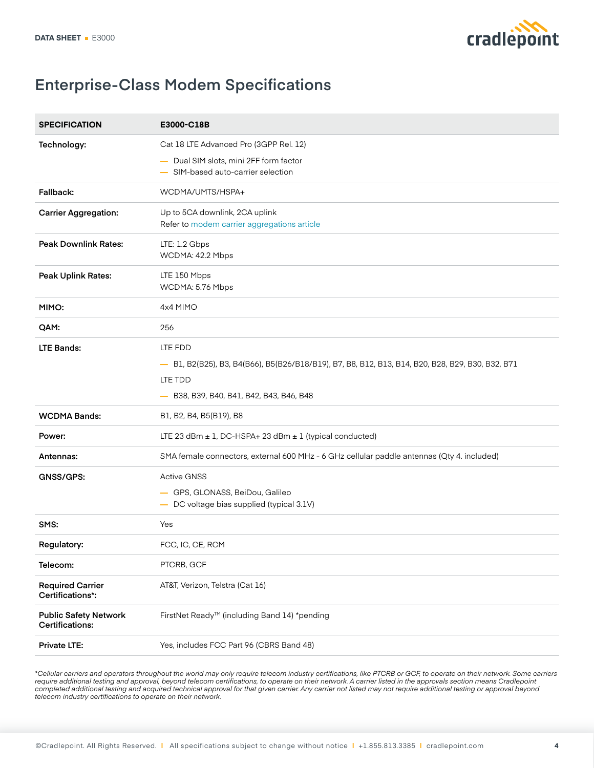

## **Enterprise-Class Modem Specifications**

| <b>SPECIFICATION</b>                                   | E3000-C18B                                                                                                                                                         |
|--------------------------------------------------------|--------------------------------------------------------------------------------------------------------------------------------------------------------------------|
| Technology:                                            | Cat 18 LTE Advanced Pro (3GPP Rel. 12)                                                                                                                             |
|                                                        | - Dual SIM slots, mini 2FF form factor<br>- SIM-based auto-carrier selection                                                                                       |
| Fallback:                                              | WCDMA/UMTS/HSPA+                                                                                                                                                   |
| <b>Carrier Aggregation:</b>                            | Up to 5CA downlink, 2CA uplink<br>Refer to modem carrier aggregations article                                                                                      |
| <b>Peak Downlink Rates:</b>                            | LTE: 1.2 Gbps<br>WCDMA: 42.2 Mbps                                                                                                                                  |
| <b>Peak Uplink Rates:</b>                              | LTE 150 Mbps<br>WCDMA: 5.76 Mbps                                                                                                                                   |
| MIMO:                                                  | 4x4 MIMO                                                                                                                                                           |
| QAM:                                                   | 256                                                                                                                                                                |
| <b>LTE Bands:</b>                                      | LTE FDD<br>- B1, B2(B25), B3, B4(B66), B5(B26/B18/B19), B7, B8, B12, B13, B14, B20, B28, B29, B30, B32, B71<br>LTE TDD<br>- B38, B39, B40, B41, B42, B43, B46, B48 |
| <b>WCDMA Bands:</b>                                    | B1, B2, B4, B5(B19), B8                                                                                                                                            |
| Power:                                                 | LTE 23 dBm $\pm$ 1, DC-HSPA+ 23 dBm $\pm$ 1 (typical conducted)                                                                                                    |
| Antennas:                                              | SMA female connectors, external 600 MHz - 6 GHz cellular paddle antennas (Qty 4. included)                                                                         |
| GNSS/GPS:                                              | <b>Active GNSS</b><br>- GPS, GLONASS, BeiDou, Galileo<br>- DC voltage bias supplied (typical 3.1V)                                                                 |
| SMS:                                                   | Yes                                                                                                                                                                |
| Regulatory:                                            | FCC, IC, CE, RCM                                                                                                                                                   |
| Telecom:                                               | PTCRB, GCF                                                                                                                                                         |
| <b>Required Carrier</b><br>Certifications*:            | AT&T, Verizon, Telstra (Cat 16)                                                                                                                                    |
| <b>Public Safety Network</b><br><b>Certifications:</b> | FirstNet Ready™ (including Band 14) *pending                                                                                                                       |
| Private LTE:                                           | Yes, includes FCC Part 96 (CBRS Band 48)                                                                                                                           |

*\*Cellular carriers and operators throughout the world may only require telecom industry certifications, like PTCRB or GCF, to operate on their network. Some carriers require additional testing and approval, beyond telecom certifications, to operate on their network. A carrier listed in the approvals section means Cradlepoint completed additional testing and acquired technical approval for that given carrier. Any carrier not listed may not require additional testing or approval beyond telecom industry certifications to operate on their network.*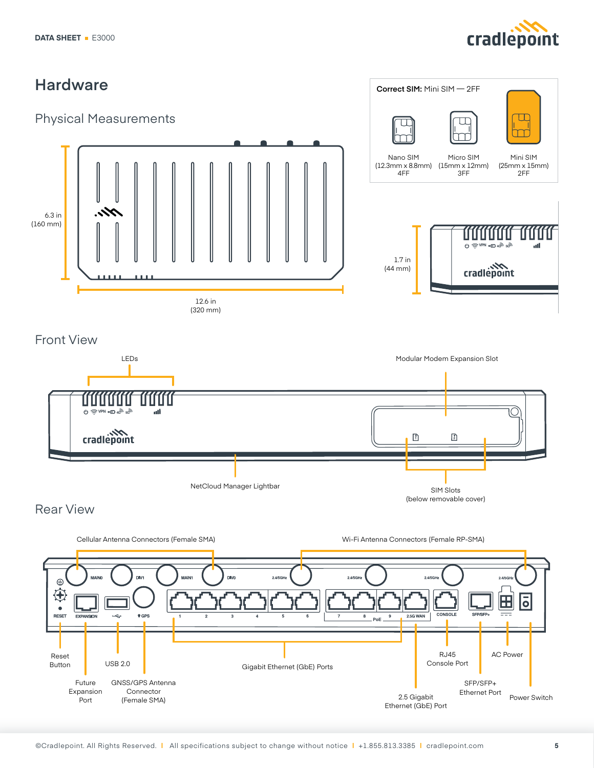



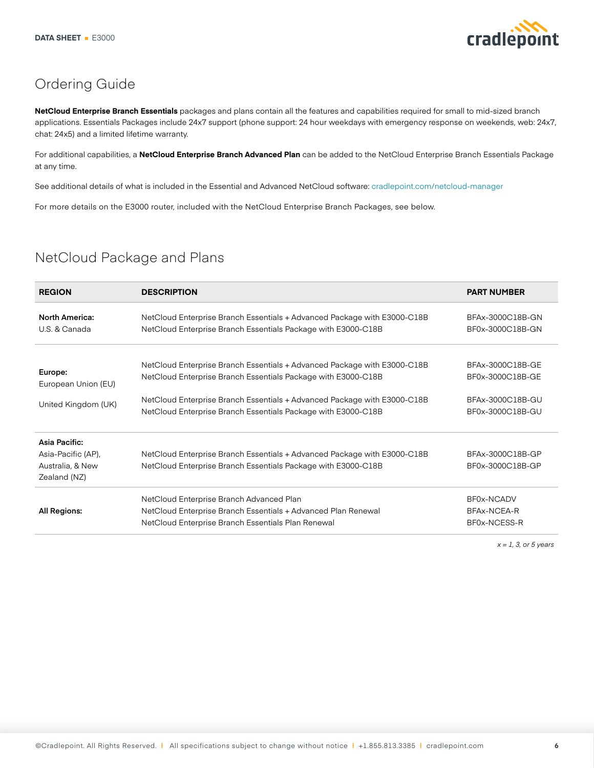

## Ordering Guide

**NetCloud Enterprise Branch Essentials** packages and plans contain all the features and capabilities required for small to mid-sized branch applications. Essentials Packages include 24x7 support (phone support: 24 hour weekdays with emergency response on weekends, web: 24x7, chat: 24x5) and a limited lifetime warranty.

For additional capabilities, a **NetCloud Enterprise Branch Advanced Plan** can be added to the NetCloud Enterprise Branch Essentials Package at any time.

See additional details of what is included in the Essential and Advanced NetCloud software: [cradlepoint.com/net](https://cradlepoint.com/netcloud-manager)cloud-manager

For more details on the E3000 router, included with the NetCloud Enterprise Branch Packages, see below.

## NetCloud Package and Plans

| <b>REGION</b>         | <b>DESCRIPTION</b>                                                       | <b>PART NUMBER</b> |
|-----------------------|--------------------------------------------------------------------------|--------------------|
| <b>North America:</b> | NetCloud Enterprise Branch Essentials + Advanced Package with E3000-C18B | BFAx-3000C18B-GN   |
| U.S. & Canada         | NetCloud Enterprise Branch Essentials Package with E3000-C18B            | BF0x-3000C18B-GN   |
|                       |                                                                          |                    |
| Europe:               | NetCloud Enterprise Branch Essentials + Advanced Package with E3000-C18B | BFAx-3000C18B-GE   |
| European Union (EU)   | NetCloud Enterprise Branch Essentials Package with E3000-C18B            | BF0x-3000C18B-GE   |
|                       | NetCloud Enterprise Branch Essentials + Advanced Package with E3000-C18B | BFAx-3000C18B-GU   |
| United Kingdom (UK)   | NetCloud Enterprise Branch Essentials Package with E3000-C18B            | BF0x-3000C18B-GU   |
| Asia Pacific:         |                                                                          |                    |
| Asia-Pacific (AP),    | NetCloud Enterprise Branch Essentials + Advanced Package with E3000-C18B | BFAx-3000C18B-GP   |
| Australia, & New      | NetCloud Enterprise Branch Essentials Package with E3000-C18B            | BF0x-3000C18B-GP   |
| Zealand (NZ)          |                                                                          |                    |
|                       | NetCloud Enterprise Branch Advanced Plan                                 | BF0x-NCADV         |
| All Regions:          | NetCloud Enterprise Branch Essentials + Advanced Plan Renewal            | BFAx-NCEA-R        |
|                       | NetCloud Enterprise Branch Essentials Plan Renewal                       | BF0x-NCESS-R       |

*x = 1, 3, or 5 years*